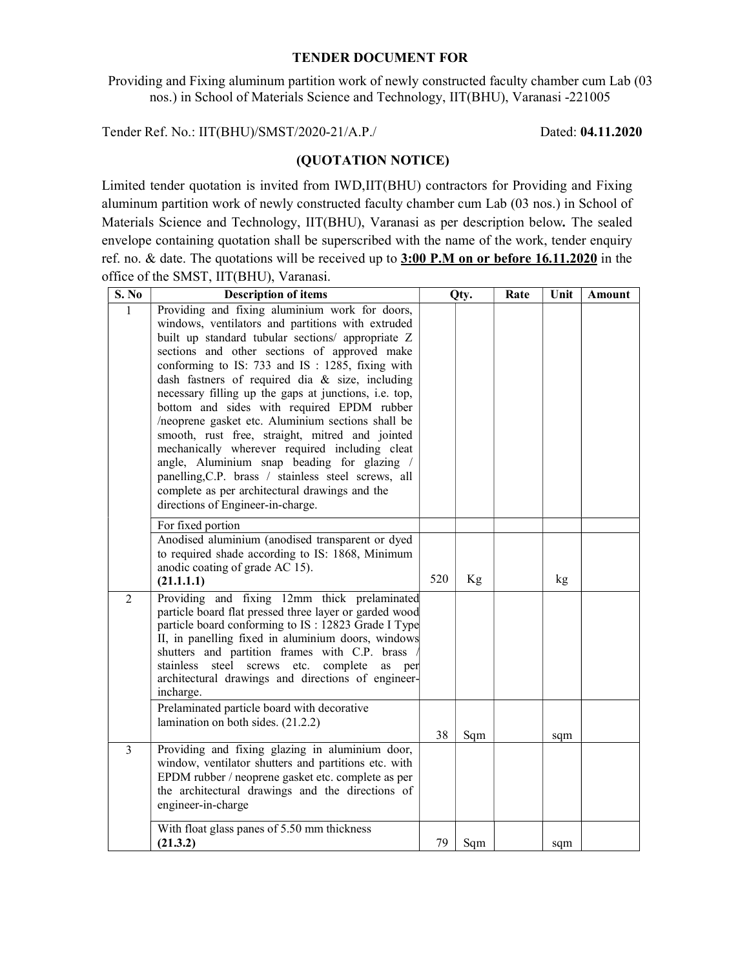#### TENDER DOCUMENT FOR

Providing and Fixing aluminum partition work of newly constructed faculty chamber cum Lab (03 nos.) in School of Materials Science and Technology, IIT(BHU), Varanasi -221005

Tender Ref. No.: IIT(BHU)/SMST/2020-21/A.P./ Dated: 04.11.2020

### (QUOTATION NOTICE)

Limited tender quotation is invited from IWD,IIT(BHU) contractors for Providing and Fixing aluminum partition work of newly constructed faculty chamber cum Lab (03 nos.) in School of Materials Science and Technology, IIT(BHU), Varanasi as per description below. The sealed envelope containing quotation shall be superscribed with the name of the work, tender enquiry ref. no. & date. The quotations will be received up to 3:00 P.M on or before 16.11.2020 in the office of the SMST, IIT(BHU), Varanasi.

| S. No          | <b>Description of items</b>                                                                                                                                                                                                                                                                                                                                                                                                                                                                                                                                                                                                                                                                                                                                                  | Qty. |     | Rate | Unit | Amount |
|----------------|------------------------------------------------------------------------------------------------------------------------------------------------------------------------------------------------------------------------------------------------------------------------------------------------------------------------------------------------------------------------------------------------------------------------------------------------------------------------------------------------------------------------------------------------------------------------------------------------------------------------------------------------------------------------------------------------------------------------------------------------------------------------------|------|-----|------|------|--------|
| $\mathbf{1}$   | Providing and fixing aluminium work for doors,<br>windows, ventilators and partitions with extruded<br>built up standard tubular sections/ appropriate Z<br>sections and other sections of approved make<br>conforming to IS: 733 and IS: 1285, fixing with<br>dash fastners of required dia & size, including<br>necessary filling up the gaps at junctions, i.e. top,<br>bottom and sides with required EPDM rubber<br>/neoprene gasket etc. Aluminium sections shall be<br>smooth, rust free, straight, mitred and jointed<br>mechanically wherever required including cleat<br>angle, Aluminium snap beading for glazing /<br>panelling, C.P. brass / stainless steel screws, all<br>complete as per architectural drawings and the<br>directions of Engineer-in-charge. |      |     |      |      |        |
|                | For fixed portion<br>Anodised aluminium (anodised transparent or dyed<br>to required shade according to IS: 1868, Minimum<br>anodic coating of grade AC 15).<br>(21.1.1.1)                                                                                                                                                                                                                                                                                                                                                                                                                                                                                                                                                                                                   | 520  | Kg  |      | kg   |        |
| $\overline{2}$ | Providing and fixing 12mm thick prelaminated<br>particle board flat pressed three layer or garded wood<br>particle board conforming to IS : 12823 Grade I Type<br>II, in panelling fixed in aluminium doors, windows<br>shutters and partition frames with C.P. brass<br>stainless steel screws etc. complete as per<br>architectural drawings and directions of engineer-<br>incharge.                                                                                                                                                                                                                                                                                                                                                                                      |      |     |      |      |        |
|                | Prelaminated particle board with decorative<br>lamination on both sides. (21.2.2)                                                                                                                                                                                                                                                                                                                                                                                                                                                                                                                                                                                                                                                                                            | 38   | Sqm |      | sqm  |        |
| 3              | Providing and fixing glazing in aluminium door,<br>window, ventilator shutters and partitions etc. with<br>EPDM rubber / neoprene gasket etc. complete as per<br>the architectural drawings and the directions of<br>engineer-in-charge                                                                                                                                                                                                                                                                                                                                                                                                                                                                                                                                      |      |     |      |      |        |
|                | With float glass panes of 5.50 mm thickness<br>(21.3.2)                                                                                                                                                                                                                                                                                                                                                                                                                                                                                                                                                                                                                                                                                                                      | 79   | Sqm |      | sqm  |        |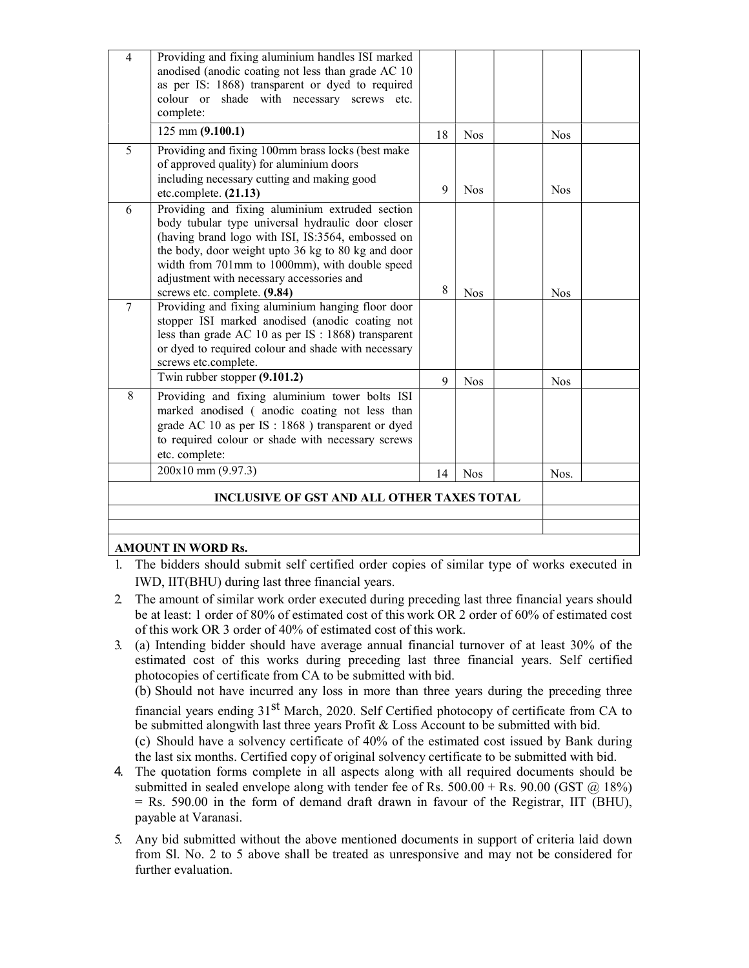| $\overline{4}$ | Providing and fixing aluminium handles ISI marked                                                      |    |            |            |  |
|----------------|--------------------------------------------------------------------------------------------------------|----|------------|------------|--|
|                | anodised (anodic coating not less than grade AC 10<br>as per IS: 1868) transparent or dyed to required |    |            |            |  |
|                | colour or shade with necessary screws etc.                                                             |    |            |            |  |
|                | complete:                                                                                              |    |            |            |  |
|                | $125$ mm $(9.100.1)$                                                                                   | 18 | <b>Nos</b> | <b>Nos</b> |  |
| $\overline{5}$ | Providing and fixing 100mm brass locks (best make                                                      |    |            |            |  |
|                | of approved quality) for aluminium doors                                                               |    |            |            |  |
|                | including necessary cutting and making good                                                            | 9  | <b>Nos</b> | <b>Nos</b> |  |
|                | etc.complete. (21.13)                                                                                  |    |            |            |  |
| 6              | Providing and fixing aluminium extruded section<br>body tubular type universal hydraulic door closer   |    |            |            |  |
|                | (having brand logo with ISI, IS:3564, embossed on                                                      |    |            |            |  |
|                | the body, door weight upto 36 kg to 80 kg and door                                                     |    |            |            |  |
|                | width from 701mm to 1000mm), with double speed                                                         |    |            |            |  |
|                | adjustment with necessary accessories and                                                              |    |            |            |  |
|                | screws etc. complete. (9.84)                                                                           | 8  | <b>Nos</b> | <b>Nos</b> |  |
| 7              | Providing and fixing aluminium hanging floor door<br>stopper ISI marked anodised (anodic coating not   |    |            |            |  |
|                | less than grade AC 10 as per IS : 1868) transparent                                                    |    |            |            |  |
|                | or dyed to required colour and shade with necessary                                                    |    |            |            |  |
|                | screws etc.complete.                                                                                   |    |            |            |  |
|                | Twin rubber stopper (9.101.2)                                                                          | 9  | <b>Nos</b> | <b>Nos</b> |  |
| 8              | Providing and fixing aluminium tower bolts ISI                                                         |    |            |            |  |
|                | marked anodised (anodic coating not less than                                                          |    |            |            |  |
|                | grade AC 10 as per IS : 1868 ) transparent or dyed                                                     |    |            |            |  |
|                | to required colour or shade with necessary screws<br>etc. complete:                                    |    |            |            |  |
|                | 200x10 mm (9.97.3)                                                                                     |    |            |            |  |
|                |                                                                                                        | 14 | <b>Nos</b> | Nos.       |  |
|                | INCLUSIVE OF GST AND ALL OTHER TAXES TOTAL                                                             |    |            |            |  |
|                |                                                                                                        |    |            |            |  |
|                |                                                                                                        |    |            |            |  |
|                | <b>AMOUNT IN WORD Rs.</b>                                                                              |    |            |            |  |

## 1. The bidders should submit self certified order copies of similar type of works executed in IWD, IIT(BHU) during last three financial years.

- 2. The amount of similar work order executed during preceding last three financial years should be at least: 1 order of 80% of estimated cost of this work OR 2 order of 60% of estimated cost of this work OR 3 order of 40% of estimated cost of this work.
- 3. (a) Intending bidder should have average annual financial turnover of at least 30% of the estimated cost of this works during preceding last three financial years. Self certified photocopies of certificate from CA to be submitted with bid.

(b) Should not have incurred any loss in more than three years during the preceding three

financial years ending 31st March, 2020. Self Certified photocopy of certificate from CA to be submitted alongwith last three years Profit  $&$  Loss Account to be submitted with bid.

(c) Should have a solvency certificate of 40% of the estimated cost issued by Bank during the last six months. Certified copy of original solvency certificate to be submitted with bid.

- 4. The quotation forms complete in all aspects along with all required documents should be submitted in sealed envelope along with tender fee of Rs.  $500.00 +$  Rs.  $90.00$  (GST  $\omega$ ) 18%)  $=$  Rs. 590.00 in the form of demand draft drawn in favour of the Registrar, IIT (BHU), payable at Varanasi.
- 5. Any bid submitted without the above mentioned documents in support of criteria laid down from Sl. No. 2 to 5 above shall be treated as unresponsive and may not be considered for further evaluation.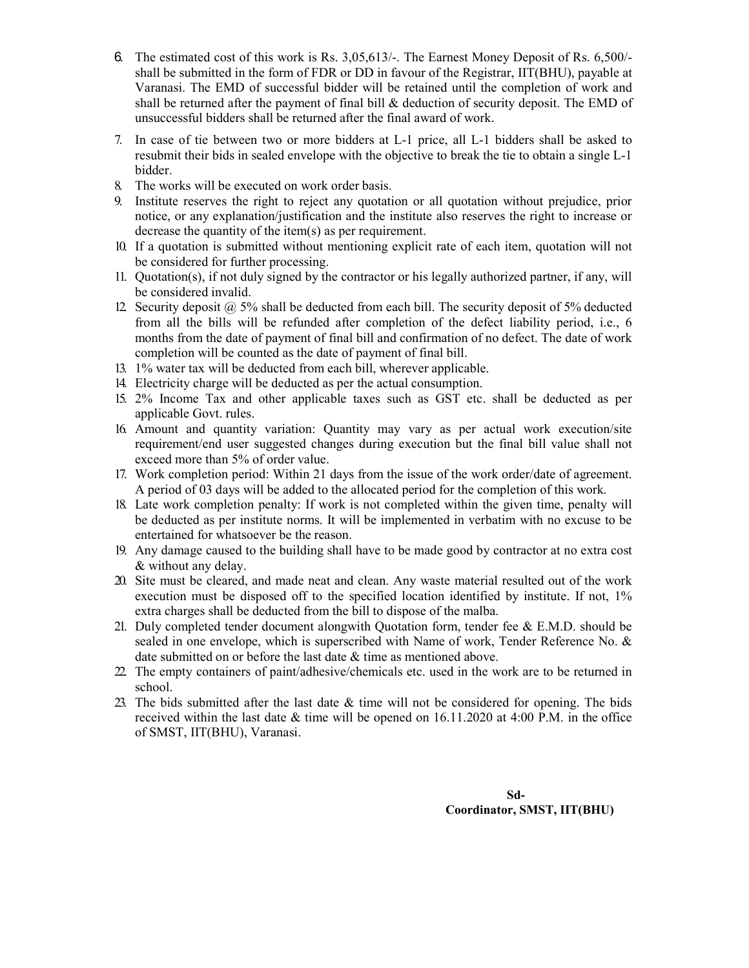- 6. The estimated cost of this work is Rs. 3,05,613/-. The Earnest Money Deposit of Rs. 6,500/ shall be submitted in the form of FDR or DD in favour of the Registrar, IIT(BHU), payable at Varanasi. The EMD of successful bidder will be retained until the completion of work and shall be returned after the payment of final bill & deduction of security deposit. The EMD of unsuccessful bidders shall be returned after the final award of work.
- 7. In case of tie between two or more bidders at L-1 price, all L-1 bidders shall be asked to resubmit their bids in sealed envelope with the objective to break the tie to obtain a single L-1 bidder.
- 8. The works will be executed on work order basis.
- 9. Institute reserves the right to reject any quotation or all quotation without prejudice, prior notice, or any explanation/justification and the institute also reserves the right to increase or decrease the quantity of the item(s) as per requirement.
- 10. If a quotation is submitted without mentioning explicit rate of each item, quotation will not be considered for further processing.
- 11. Quotation(s), if not duly signed by the contractor or his legally authorized partner, if any, will be considered invalid.
- 12. Security deposit  $\omega$  5% shall be deducted from each bill. The security deposit of 5% deducted from all the bills will be refunded after completion of the defect liability period, i.e., 6 months from the date of payment of final bill and confirmation of no defect. The date of work completion will be counted as the date of payment of final bill.
- 13. 1% water tax will be deducted from each bill, wherever applicable.
- 14. Electricity charge will be deducted as per the actual consumption.
- 15. 2% Income Tax and other applicable taxes such as GST etc. shall be deducted as per applicable Govt. rules.
- 16. Amount and quantity variation: Quantity may vary as per actual work execution/site requirement/end user suggested changes during execution but the final bill value shall not exceed more than 5% of order value.
- 17. Work completion period: Within 21 days from the issue of the work order/date of agreement. A period of 03 days will be added to the allocated period for the completion of this work.
- 18. Late work completion penalty: If work is not completed within the given time, penalty will be deducted as per institute norms. It will be implemented in verbatim with no excuse to be entertained for whatsoever be the reason.
- 19. Any damage caused to the building shall have to be made good by contractor at no extra cost & without any delay.
- 20. Site must be cleared, and made neat and clean. Any waste material resulted out of the work execution must be disposed off to the specified location identified by institute. If not, 1% extra charges shall be deducted from the bill to dispose of the malba.
- 21. Duly completed tender document alongwith Quotation form, tender fee & E.M.D. should be sealed in one envelope, which is superscribed with Name of work, Tender Reference No. & date submitted on or before the last date & time as mentioned above.
- 22. The empty containers of paint/adhesive/chemicals etc. used in the work are to be returned in school.
- 23. The bids submitted after the last date & time will not be considered for opening. The bids received within the last date & time will be opened on 16.11.2020 at 4:00 P.M. in the office of SMST, IIT(BHU), Varanasi.